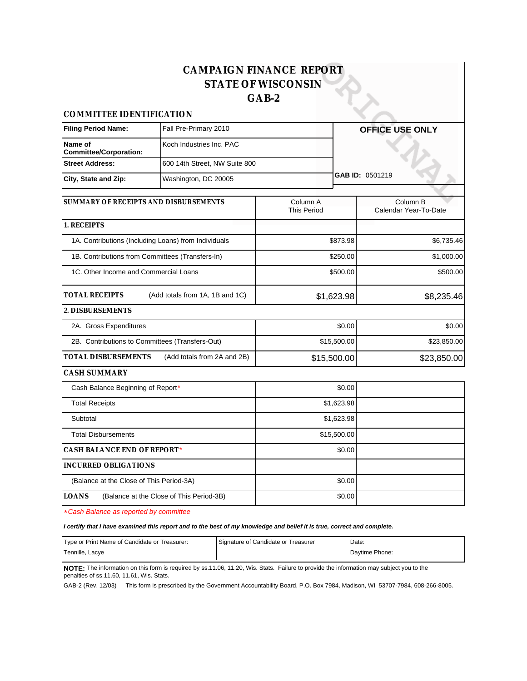|                                                  |                                                      | <b>CAMPAIGN FINANCE REPORT</b><br><b>STATE OF WISCONSIN</b><br>$GAB-2$ |                                   |
|--------------------------------------------------|------------------------------------------------------|------------------------------------------------------------------------|-----------------------------------|
| COMMITTEE IDENTIFICATION                         |                                                      |                                                                        |                                   |
| <b>Filing Period Name:</b>                       | Fall Pre-Primary 2010                                |                                                                        | OFFICE USE ONLY                   |
| Name of<br><b>Committee/Corporation:</b>         | Koch Industries Inc. PAC                             |                                                                        |                                   |
| <b>Street Address:</b>                           | 600 14th Street, NW Suite 800                        |                                                                        |                                   |
| City, State and Zip:                             | Washington, DC 20005                                 |                                                                        | GAB ID: 0501219                   |
| SUMMARY OF RECEIPTS AND DISBURSEMENTS            |                                                      | Column A<br><b>This Period</b>                                         | Column B<br>Calendar Year-To-Date |
| 1. RECEIPTS                                      |                                                      |                                                                        |                                   |
|                                                  | 1A. Contributions (Including Loans) from Individuals | \$873.98                                                               | \$6,735.46                        |
| 1B. Contributions from Committees (Transfers-In) |                                                      | \$250.00                                                               | \$1,000.00                        |
| 1C. Other Income and Commercial Loans            |                                                      | \$500.00                                                               | \$500.00                          |
| TOTAL RECEIPTS                                   | (Add totals from 1A, 1B and 1C)                      | \$1,623.98                                                             | \$8,235.46                        |
| 2. DISBURSEMENTS                                 |                                                      |                                                                        |                                   |
| 2A. Gross Expenditures                           |                                                      |                                                                        | \$0.00<br>\$0.00                  |
| 2B. Contributions to Committees (Transfers-Out)  |                                                      | \$15,500.00                                                            | \$23,850.00                       |
| TOTAL DISBURSEMENTS                              | (Add totals from 2A and 2B)                          | \$15,500.00                                                            | \$23,850.00                       |
| CASH SUMMARY                                     |                                                      |                                                                        |                                   |
| Cash Balance Beginning of Report*                |                                                      | \$0.00                                                                 |                                   |
| <b>Total Receipts</b>                            |                                                      | \$1,623.98                                                             |                                   |
| Subtotal                                         |                                                      | \$1,623.98                                                             |                                   |
| <b>Total Disbursements</b>                       |                                                      | \$15,500.00                                                            |                                   |
| CASH BALANCE END OF REPORT*                      |                                                      | \$0.00                                                                 |                                   |
| <b>INCURRED OBLIGATIONS</b>                      |                                                      |                                                                        |                                   |
| (Balance at the Close of This Period-3A)         |                                                      | \$0.00                                                                 |                                   |
| <b>LOANS</b>                                     | (Balance at the Close of This Period-3B)             | \$0.00                                                                 |                                   |

\*Cash Balance as reported by committee

**I certify that I have examined this report and to the best of my knowledge and belief it is true, correct and complete.**

| Type or Print Name of Candidate or Treasurer: | Signature of Candidate or Treasurer | Date:          |
|-----------------------------------------------|-------------------------------------|----------------|
| Tennille, Lacye                               |                                     | Davtime Phone: |

**NOTE:** The information on this form is required by ss.11.06, 11.20, Wis. Stats. Failure to provide the information may subject you to the penalties of ss.11.60, 11.61, Wis. Stats.

GAB-2 (Rev. 12/03) This form is prescribed by the Government Accountability Board, P.O. Box 7984, Madison, WI 53707-7984, 608-266-8005.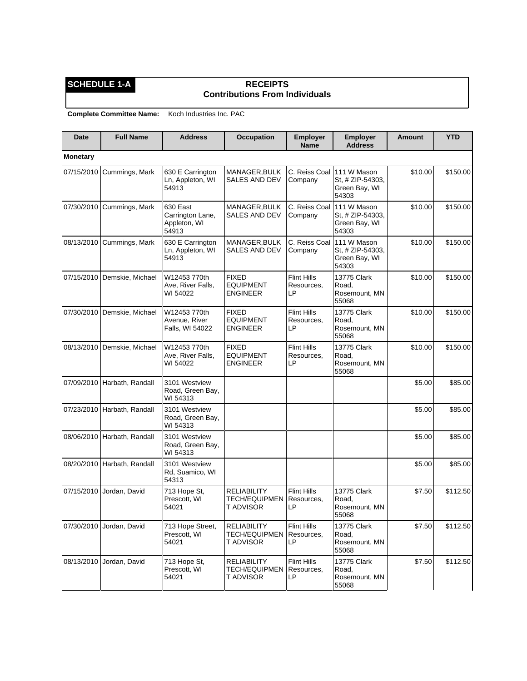## **SCHEDULE 1-A RECEIPTS Contributions From Individuals**

| <b>Date</b>     | <b>Full Name</b>            | <b>Address</b>                                        | <b>Occupation</b>                                       | <b>Employer</b><br><b>Name</b>         | <b>Employer</b><br><b>Address</b>                         | <b>Amount</b> | <b>YTD</b> |
|-----------------|-----------------------------|-------------------------------------------------------|---------------------------------------------------------|----------------------------------------|-----------------------------------------------------------|---------------|------------|
| <b>Monetary</b> |                             |                                                       |                                                         |                                        |                                                           |               |            |
| 07/15/2010      | Cummings, Mark              | 630 E Carrington<br>Ln, Appleton, WI<br>54913         | MANAGER, BULK<br><b>SALES AND DEV</b>                   | C. Reiss Coal<br>Company               | 111 W Mason<br>St. # ZIP-54303.<br>Green Bay, WI<br>54303 | \$10.00       | \$150.00   |
| 07/30/2010      | Cummings, Mark              | 630 East<br>Carrington Lane,<br>Appleton, WI<br>54913 | MANAGER, BULK<br><b>SALES AND DEV</b>                   | C. Reiss Coal<br>Company               | 111 W Mason<br>St, # ZIP-54303,<br>Green Bay, WI<br>54303 | \$10.00       | \$150.00   |
| 08/13/2010      | Cummings, Mark              | 630 E Carrington<br>Ln, Appleton, WI<br>54913         | MANAGER, BULK<br>SALES AND DEV                          | C. Reiss Coal<br>Company               | 111 W Mason<br>St. # ZIP-54303.<br>Green Bay, WI<br>54303 | \$10.00       | \$150.00   |
| 07/15/2010      | Demskie, Michael            | W12453 770th<br>Ave, River Falls,<br>WI 54022         | <b>FIXED</b><br><b>EQUIPMENT</b><br><b>ENGINEER</b>     | <b>Flint Hills</b><br>Resources,<br>LP | <b>13775 Clark</b><br>Road,<br>Rosemount, MN<br>55068     | \$10.00       | \$150.00   |
| 07/30/2010      | Demskie, Michael            | W12453 770th<br>Avenue, River<br>Falls, WI 54022      | <b>FIXED</b><br><b>EQUIPMENT</b><br><b>ENGINEER</b>     | <b>Flint Hills</b><br>Resources,<br>LP | 13775 Clark<br>Road.<br>Rosemount, MN<br>55068            | \$10.00       | \$150.00   |
| 08/13/2010      | Demskie, Michael            | W12453 770th<br>Ave, River Falls,<br>WI 54022         | <b>FIXED</b><br><b>EQUIPMENT</b><br><b>ENGINEER</b>     | <b>Flint Hills</b><br>Resources,<br>LP | 13775 Clark<br>Road.<br>Rosemount, MN<br>55068            | \$10.00       | \$150.00   |
|                 | 07/09/2010 Harbath, Randall | 3101 Westview<br>Road, Green Bay,<br>WI 54313         |                                                         |                                        |                                                           | \$5.00        | \$85.00    |
| 07/23/2010      | Harbath, Randall            | 3101 Westview<br>Road, Green Bay,<br>WI 54313         |                                                         |                                        |                                                           | \$5.00        | \$85.00    |
| 08/06/2010      | Harbath, Randall            | 3101 Westview<br>Road, Green Bay,<br>WI 54313         |                                                         |                                        |                                                           | \$5.00        | \$85.00    |
| 08/20/2010      | Harbath, Randall            | 3101 Westview<br>Rd, Suamico, WI<br>54313             |                                                         |                                        |                                                           | \$5.00        | \$85.00    |
| 07/15/2010      | Jordan, David               | 713 Hope St.<br>Prescott, WI<br>54021                 | <b>RELIABILITY</b><br>TECH/EQUIPMEN<br>T ADVISOR        | <b>Flint Hills</b><br>Resources,<br>LР | 13775 Clark<br>Road,<br>Rosemount, MN<br>55068            | \$7.50        | \$112.50   |
| 07/30/2010      | Jordan, David               | 713 Hope Street,<br>Prescott. WI<br>54021             | <b>RELIABILITY</b><br><b>TECH/EQUIPMEN</b><br>T ADVISOR | <b>Flint Hills</b><br>Resources,<br>LP | 13775 Clark<br>Road,<br>Rosemount, MN<br>55068            | \$7.50        | \$112.50   |
| 08/13/2010      | Jordan, David               | 713 Hope St,<br>Prescott, WI<br>54021                 | <b>RELIABILITY</b><br><b>TECH/EQUIPMEN</b><br>T ADVISOR | <b>Flint Hills</b><br>Resources,<br>LP | 13775 Clark<br>Road,<br>Rosemount, MN<br>55068            | \$7.50        | \$112.50   |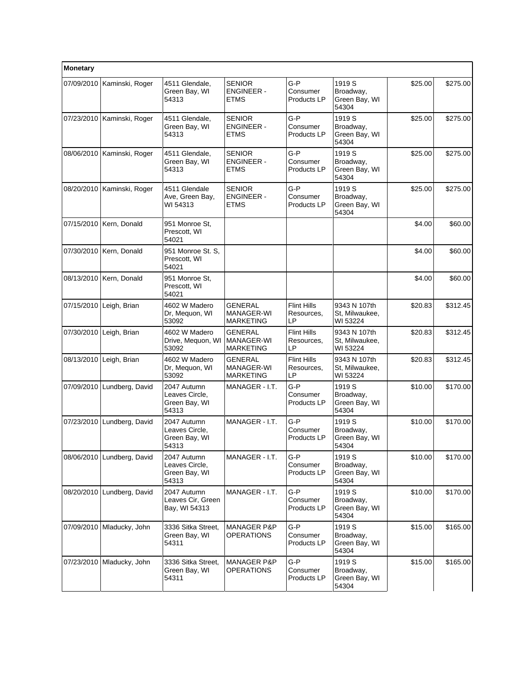| Monetary   |                           |                                                         |                                                   |                                        |                                               |         |          |
|------------|---------------------------|---------------------------------------------------------|---------------------------------------------------|----------------------------------------|-----------------------------------------------|---------|----------|
| 07/09/2010 | Kaminski, Roger           | 4511 Glendale,<br>Green Bay, WI<br>54313                | <b>SENIOR</b><br><b>ENGINEER -</b><br><b>ETMS</b> | $G-P$<br>Consumer<br>Products LP       | 1919 S<br>Broadway,<br>Green Bay, WI<br>54304 | \$25.00 | \$275.00 |
| 07/23/2010 | Kaminski, Roger           | 4511 Glendale,<br>Green Bay, WI<br>54313                | <b>SENIOR</b><br><b>ENGINEER -</b><br><b>ETMS</b> | $G-P$<br>Consumer<br>Products LP       | 1919 S<br>Broadway,<br>Green Bay, WI<br>54304 | \$25.00 | \$275.00 |
| 08/06/2010 | Kaminski, Roger           | 4511 Glendale,<br>Green Bay, WI<br>54313                | <b>SENIOR</b><br><b>ENGINEER -</b><br><b>ETMS</b> | $G-P$<br>Consumer<br>Products LP       | 1919 S<br>Broadway,<br>Green Bay, WI<br>54304 | \$25.00 | \$275.00 |
| 08/20/2010 | Kaminski, Roger           | 4511 Glendale<br>Ave, Green Bay,<br>WI 54313            | <b>SENIOR</b><br><b>ENGINEER -</b><br><b>ETMS</b> | $G-P$<br>Consumer<br>Products LP       | 1919 S<br>Broadway,<br>Green Bay, WI<br>54304 | \$25.00 | \$275.00 |
| 07/15/2010 | Kern, Donald              | 951 Monroe St,<br>Prescott, WI<br>54021                 |                                                   |                                        |                                               | \$4.00  | \$60.00  |
|            | 07/30/2010   Kern, Donald | 951 Monroe St. S.<br>Prescott, WI<br>54021              |                                                   |                                        |                                               | \$4.00  | \$60.00  |
| 08/13/2010 | Kern, Donald              | 951 Monroe St.<br>Prescott, WI<br>54021                 |                                                   |                                        |                                               | \$4.00  | \$60.00  |
| 07/15/2010 | Leigh, Brian              | 4602 W Madero<br>Dr, Mequon, WI<br>53092                | <b>GENERAL</b><br>MANAGER-WI<br><b>MARKETING</b>  | <b>Flint Hills</b><br>Resources,<br>LP | 9343 N 107th<br>St, Milwaukee,<br>WI 53224    | \$20.83 | \$312.45 |
| 07/30/2010 | Leigh, Brian              | 4602 W Madero<br>Drive, Mequon, WI<br>53092             | <b>GENERAL</b><br>MANAGER-WI<br><b>MARKETING</b>  | <b>Flint Hills</b><br>Resources,<br>LP | 9343 N 107th<br>St, Milwaukee,<br>WI 53224    | \$20.83 | \$312.45 |
| 08/13/2010 | Leigh, Brian              | 4602 W Madero<br>Dr, Mequon, WI<br>53092                | <b>GENERAL</b><br>MANAGER-WI<br><b>MARKETING</b>  | <b>Flint Hills</b><br>Resources,<br>LP | 9343 N 107th<br>St, Milwaukee,<br>WI 53224    | \$20.83 | \$312.45 |
| 07/09/2010 | Lundberg, David           | 2047 Autumn<br>Leaves Circle,<br>Green Bay, WI<br>54313 | MANAGER - I.T.                                    | $G-P$<br>Consumer<br>Products LP       | 1919 S<br>Broadway,<br>Green Bay, WI<br>54304 | \$10.00 | \$170.00 |
| 07/23/2010 | Lundberg, David           | 2047 Autumn<br>Leaves Circle,<br>Green Bay, WI<br>54313 | MANAGER - I.T.                                    | $G-P$<br>Consumer<br>Products LP       | 1919 S<br>Broadway,<br>Green Bay, WI<br>54304 | \$10.00 | \$170.00 |
| 08/06/2010 | Lundberg, David           | 2047 Autumn<br>Leaves Circle,<br>Green Bay, WI<br>54313 | MANAGER - I.T.                                    | G-P<br>Consumer<br>Products LP         | 1919 S<br>Broadway,<br>Green Bay, WI<br>54304 | \$10.00 | \$170.00 |
| 08/20/2010 | Lundberg, David           | 2047 Autumn<br>Leaves Cir, Green<br>Bay, WI 54313       | MANAGER - I.T.                                    | $G-P$<br>Consumer<br>Products LP       | 1919 S<br>Broadway,<br>Green Bay, WI<br>54304 | \$10.00 | \$170.00 |
| 07/09/2010 | Mladucky, John            | 3336 Sitka Street,<br>Green Bay, WI<br>54311            | <b>MANAGER P&amp;P</b><br><b>OPERATIONS</b>       | G-P<br>Consumer<br>Products LP         | 1919 S<br>Broadway,<br>Green Bay, WI<br>54304 | \$15.00 | \$165.00 |
| 07/23/2010 | Mladucky, John            | 3336 Sitka Street,<br>Green Bay, WI<br>54311            | <b>MANAGER P&amp;P</b><br><b>OPERATIONS</b>       | G-P<br>Consumer<br>Products LP         | 1919 S<br>Broadway,<br>Green Bay, WI<br>54304 | \$15.00 | \$165.00 |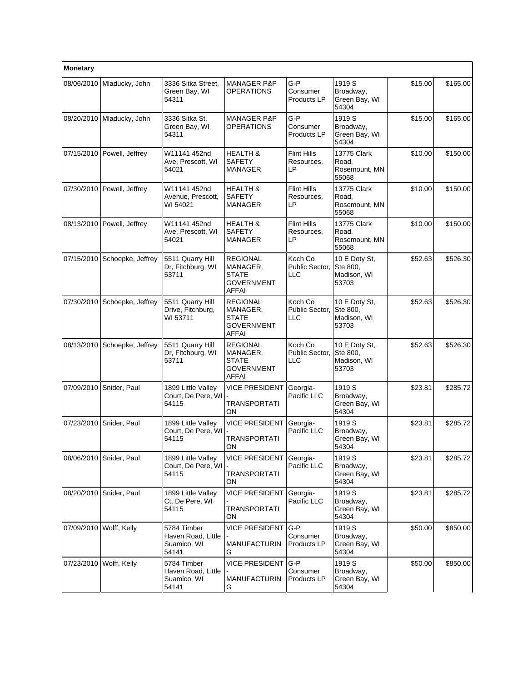| Monetary   |                              |                                                           |                                                                           |                                        |                                                   |         |          |
|------------|------------------------------|-----------------------------------------------------------|---------------------------------------------------------------------------|----------------------------------------|---------------------------------------------------|---------|----------|
| 08/06/2010 | Mladucky, John               | 3336 Sitka Street,<br>Green Bay, WI<br>54311              | <b>MANAGER P&amp;P</b><br>OPERATIONS                                      | $G-P$<br>Consumer<br>Products LP       | 1919 S<br>Broadway,<br>Green Bay, WI<br>54304     | \$15.00 | \$165.00 |
| 08/20/2010 | Mladucky, John               | 3336 Sitka St.<br>Green Bay, WI<br>54311                  | <b>MANAGER P&amp;P</b><br><b>OPERATIONS</b>                               | G-P<br>Consumer<br>Products LP         | 1919 S<br>Broadway,<br>Green Bay, WI<br>54304     | \$15.00 | \$165.00 |
| 07/15/2010 | Powell, Jeffrey              | W11141 452nd<br>Ave, Prescott, WI<br>54021                | <b>HEALTH &amp;</b><br><b>SAFETY</b><br><b>MANAGER</b>                    | <b>Flint Hills</b><br>Resources,<br>LP | 13775 Clark<br>Road.<br>Rosemount, MN<br>55068    | \$10.00 | \$150.00 |
|            | 07/30/2010   Powell, Jeffrey | W11141 452nd<br>Avenue, Prescott,<br>WI 54021             | <b>HEALTH &amp;</b><br><b>SAFETY</b><br><b>MANAGER</b>                    | <b>Flint Hills</b><br>Resources,<br>LP | 13775 Clark<br>Road,<br>Rosemount, MN<br>55068    | \$10.00 | \$150.00 |
| 08/13/2010 | Powell, Jeffrey              | W11141 452nd<br>Ave, Prescott, WI<br>54021                | <b>HEALTH &amp;</b><br><b>SAFETY</b><br><b>MANAGER</b>                    | <b>Flint Hills</b><br>Resources,<br>LP | 13775 Clark<br>Road.<br>Rosemount, MN<br>55068    | \$10.00 | \$150.00 |
| 07/15/2010 | Schoepke, Jeffrey            | 5511 Quarry Hill<br>Dr, Fitchburg, WI<br>53711            | <b>REGIONAL</b><br>MANAGER,<br><b>STATE</b><br>GOVERNMENT<br><b>AFFAI</b> | Koch Co<br>Public Sector,<br>LLC       | 10 E Doty St,<br>Ste 800,<br>Madison, WI<br>53703 | \$52.63 | \$526.30 |
| 07/30/2010 | Schoepke, Jeffrey            | 5511 Quarry Hill<br>Drive, Fitchburg,<br>WI 53711         | <b>REGIONAL</b><br>MANAGER,<br>STATE<br><b>GOVERNMENT</b><br><b>AFFAI</b> | Koch Co<br>Public Sector,<br>LLC       | 10 E Doty St.<br>Ste 800,<br>Madison, WI<br>53703 | \$52.63 | \$526.30 |
| 08/13/2010 | Schoepke, Jeffrey            | 5511 Quarry Hill<br>Dr, Fitchburg, WI<br>53711            | <b>REGIONAL</b><br>MANAGER,<br><b>STATE</b><br><b>GOVERNMENT</b><br>AFFAI | Koch Co<br>Public Sector,<br>LLC       | 10 E Doty St,<br>Ste 800,<br>Madison, WI<br>53703 | \$52.63 | \$526.30 |
| 07/09/2010 | Snider, Paul                 | 1899 Little Valley<br>Court, De Pere, WI<br>54115         | <b>VICE PRESIDENT</b><br>TRANSPORTATI<br>ON                               | Georgia-<br>Pacific LLC                | 1919 S<br>Broadway,<br>Green Bay, WI<br>54304     | \$23.81 | \$285.72 |
| 07/23/2010 | Snider, Paul                 | 1899 Little Valley<br>Court, De Pere, WI<br>54115         | <b>VICE PRESIDENT</b><br>TRANSPORTATI<br>ON                               | Georgia-<br>Pacific LLC                | 1919 S<br>Broadway,<br>Green Bay, WI<br>54304     | \$23.81 | \$285.72 |
| 08/06/2010 | Snider, Paul                 | 1899 Little Valley<br>Court, De Pere, WI<br>54115         | <b>VICE PRESIDENT</b><br>TRANSPORTATI<br>ON                               | Georgia-<br>Pacific LLC                | 1919 S<br>Broadway,<br>Green Bay, WI<br>54304     | \$23.81 | \$285.72 |
| 08/20/2010 | Snider, Paul                 | 1899 Little Valley<br>Ct, De Pere, WI<br>54115            | <b>VICE PRESIDENT</b><br>TRANSPORTATI<br><b>ON</b>                        | Georgia-<br>Pacific LLC                | 1919 S<br>Broadway,<br>Green Bay, WI<br>54304     | \$23.81 | \$285.72 |
| 07/09/2010 | Wolff, Kelly                 | 5784 Timber<br>Haven Road, Little<br>Suamico, WI<br>54141 | <b>VICE PRESIDENT</b><br><b>MANUFACTURIN</b><br>G                         | $G-P$<br>Consumer<br>Products LP       | 1919 S<br>Broadway,<br>Green Bay, WI<br>54304     | \$50.00 | \$850.00 |
| 07/23/2010 | Wolff, Kelly                 | 5784 Timber<br>Haven Road, Little<br>Suamico, WI<br>54141 | <b>VICE PRESIDENT</b><br><b>MANUFACTURIN</b><br>G                         | G-P<br>Consumer<br>Products LP         | 1919 S<br>Broadway,<br>Green Bay, WI<br>54304     | \$50.00 | \$850.00 |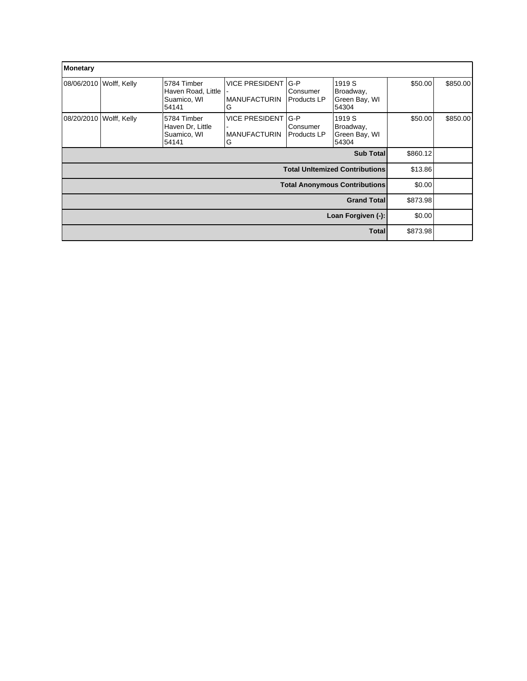| Monetary           |              |                                                           |                                                   |                                         |                                               |          |          |
|--------------------|--------------|-----------------------------------------------------------|---------------------------------------------------|-----------------------------------------|-----------------------------------------------|----------|----------|
| 08/06/2010         | Wolff, Kelly | 5784 Timber<br>Haven Road, Little<br>Suamico, WI<br>54141 | <b>VICE PRESIDENT</b><br><b>MANUFACTURIN</b><br>G | $G-P$<br>Consumer<br>Products LP        | 1919 S<br>Broadway,<br>Green Bay, WI<br>54304 | \$50.00  | \$850.00 |
| 08/20/2010         | Wolff, Kelly | 5784 Timber<br>Haven Dr, Little<br>Suamico, WI<br>54141   | <b>VICE PRESIDENT</b><br><b>MANUFACTURIN</b><br>G | $G-P$<br>Consumer<br><b>Products LP</b> | 1919 S<br>Broadway,<br>Green Bay, WI<br>54304 | \$50.00  | \$850.00 |
|                    |              |                                                           |                                                   |                                         | Sub Total                                     | \$860.12 |          |
|                    |              |                                                           |                                                   |                                         | <b>Total Unitemized Contributions</b>         | \$13.86  |          |
|                    |              |                                                           |                                                   |                                         | <b>Total Anonymous Contributions</b>          | \$0.00   |          |
| <b>Grand Total</b> |              |                                                           |                                                   |                                         |                                               | \$873.98 |          |
| Loan Forgiven (-): |              |                                                           |                                                   |                                         |                                               | \$0.00   |          |
|                    |              |                                                           |                                                   |                                         | <b>Total</b>                                  | \$873.98 |          |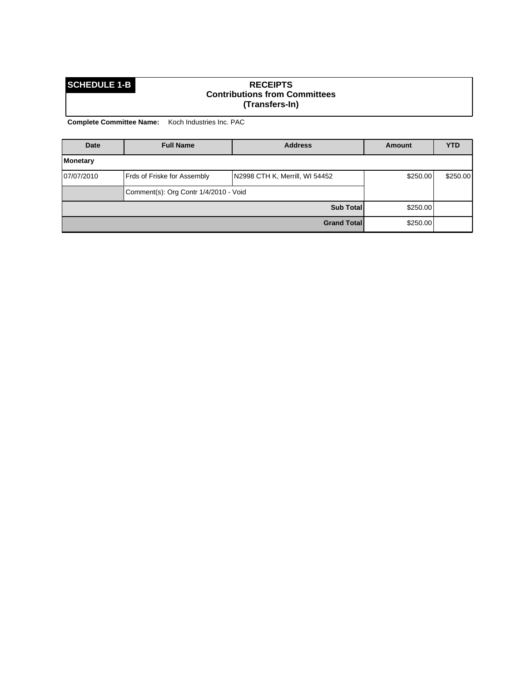## **SCHEDULE 1-B RECEIPTS Contributions from Committees (Transfers-In)**

| Date       | <b>Full Name</b>                      | <b>Address</b>                 | <b>Amount</b> | <b>YTD</b> |
|------------|---------------------------------------|--------------------------------|---------------|------------|
| Monetary   |                                       |                                |               |            |
| 07/07/2010 | Frds of Friske for Assembly           | N2998 CTH K, Merrill, WI 54452 | \$250.00      | \$250.00   |
|            | Comment(s): Org Contr 1/4/2010 - Void |                                |               |            |
|            |                                       | <b>Sub Total</b>               | \$250.00      |            |
|            |                                       | <b>Grand Total</b>             | \$250.00      |            |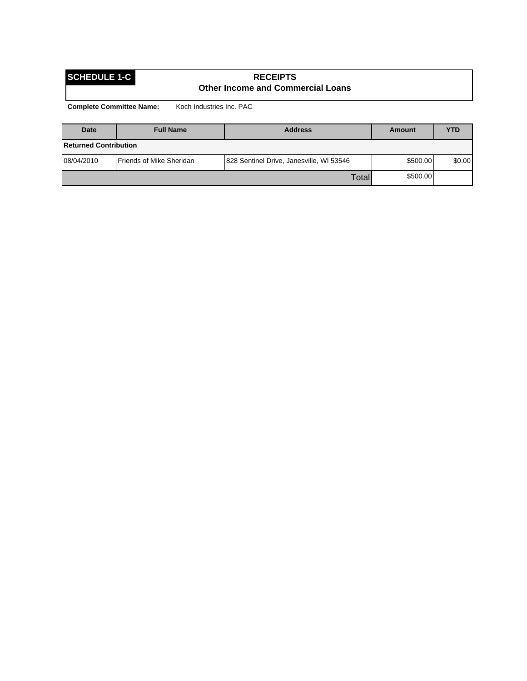## **SCHEDULE 1-C RECEIPTS Other Income and Commercial Loans**

| <b>Date</b>                  | <b>Full Name</b>         | <b>Address</b>                           | Amount   | YTD    |
|------------------------------|--------------------------|------------------------------------------|----------|--------|
| <b>Returned Contribution</b> |                          |                                          |          |        |
| 08/04/2010                   | Friends of Mike Sheridan | 828 Sentinel Drive, Janesville, WI 53546 | \$500.00 | \$0.00 |
|                              |                          | Totall                                   | \$500.00 |        |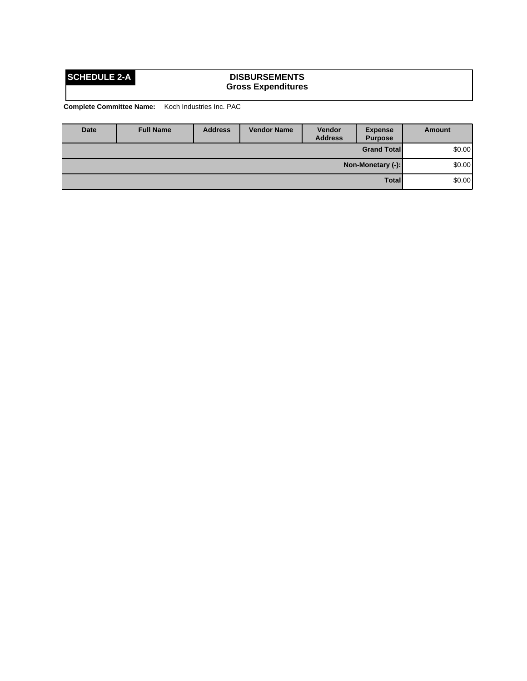## **SCHEDULE 2-A DISBURSEMENTS Gross Expenditures**

| <b>Date</b> | <b>Full Name</b>             | <b>Address</b> | <b>Vendor Name</b> | <b>Vendor</b><br><b>Address</b> | <b>Expense</b><br><b>Purpose</b> | Amount |
|-------------|------------------------------|----------------|--------------------|---------------------------------|----------------------------------|--------|
|             |                              |                |                    |                                 | <b>Grand Total</b>               | \$0.00 |
|             | \$0.00]<br>Non-Monetary (-): |                |                    |                                 |                                  |        |
|             |                              |                |                    |                                 | <b>Total</b>                     | \$0.00 |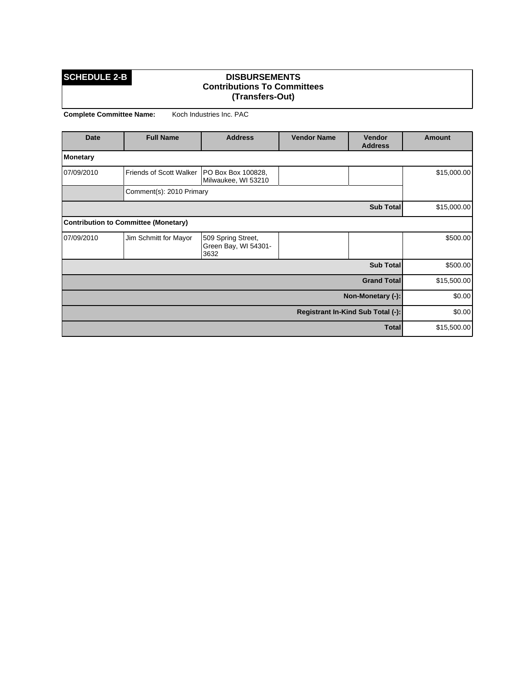### **SCHEDULE 2-B DISBURSEMENTS Contributions To Committees (Transfers-Out)**

| <b>Date</b>     | <b>Full Name</b>                     | <b>Vendor Name</b><br><b>Address</b><br><b>Vendor</b><br><b>Address</b> |  | <b>Amount</b>                     |             |
|-----------------|--------------------------------------|-------------------------------------------------------------------------|--|-----------------------------------|-------------|
| <b>Monetary</b> |                                      |                                                                         |  |                                   |             |
| 07/09/2010      | Friends of Scott Walker              | PO Box Box 100828,<br>Milwaukee, WI 53210                               |  |                                   | \$15,000.00 |
|                 | Comment(s): 2010 Primary             |                                                                         |  |                                   |             |
|                 |                                      |                                                                         |  | Sub Total                         | \$15,000.00 |
|                 | Contribution to Committee (Monetary) |                                                                         |  |                                   |             |
| 07/09/2010      | Jim Schmitt for Mayor                | 509 Spring Street,<br>Green Bay, WI 54301-<br>3632                      |  |                                   | \$500.00    |
|                 |                                      |                                                                         |  | Sub Total                         | \$500.00    |
|                 |                                      |                                                                         |  | <b>Grand Total</b>                | \$15,500.00 |
|                 |                                      |                                                                         |  | Non-Monetary (-):                 | \$0.00      |
|                 |                                      |                                                                         |  | Registrant In-Kind Sub Total (-): | \$0.00      |
|                 |                                      |                                                                         |  | <b>Total</b>                      | \$15,500.00 |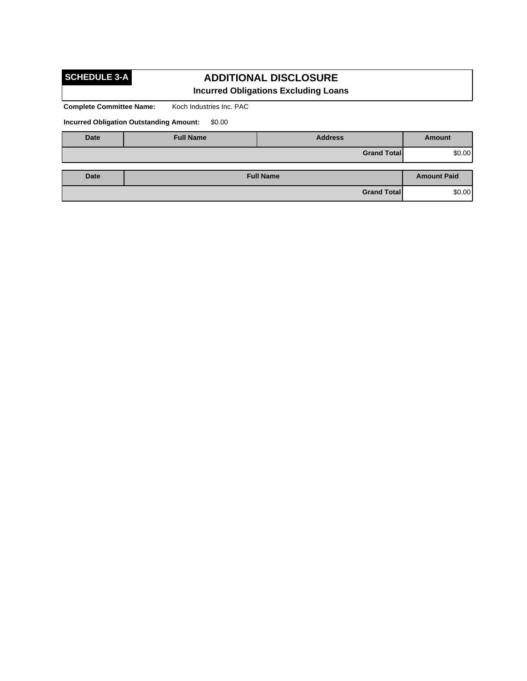# **SCHEDULE 3-A**

## **ADDITIONAL DISCLOSURE Incurred Obligations Excluding Loans**

**Complete Committee Name:** Koch Industries Inc. PAC

**Incurred Obligation Outstanding Amount:** \$0.00

| <b>Date</b> | <b>Full Name</b> | <b>Address</b>     | Amount             |
|-------------|------------------|--------------------|--------------------|
|             |                  | <b>Grand Total</b> | \$0.00]            |
| Date        |                  | <b>Full Name</b>   | <b>Amount Paid</b> |
|             |                  | <b>Grand Total</b> | \$0.00]            |